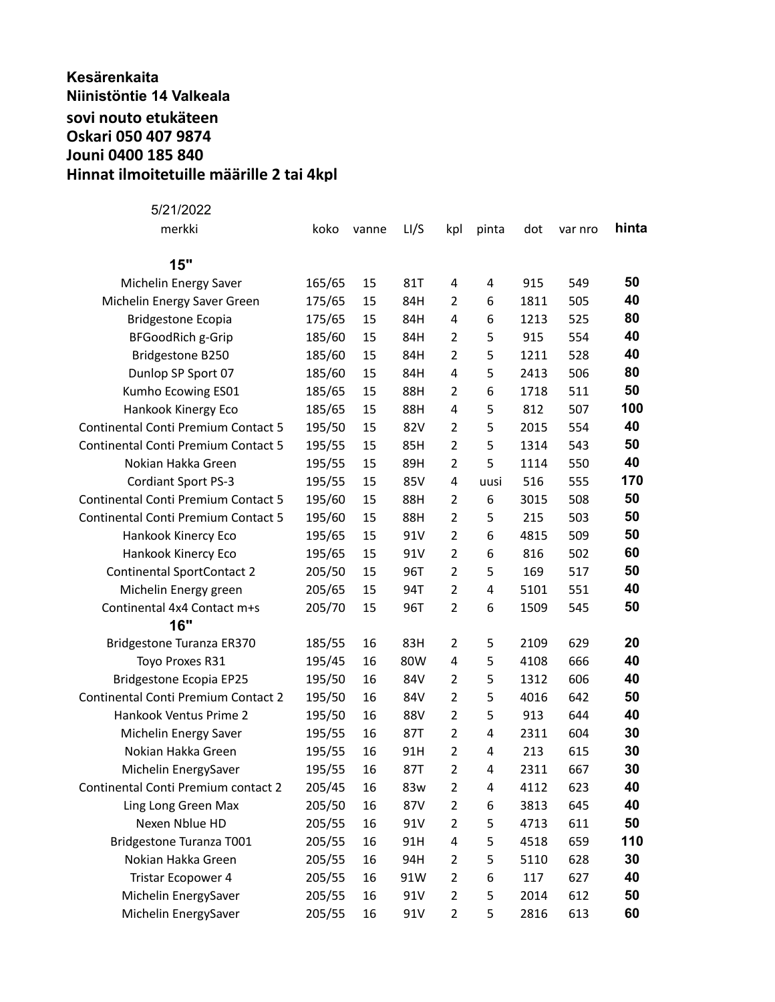## **Kesärenkaita Niinistöntie 14 Valkeala sovi nouto etukäteen Oskari 050 407 9874 Jouni 0400 185 840 Hinnat ilmoitetuille määrille 2 tai 4kpl**

| 5/21/2022                                  |        |       |      |                         |       |      |         |       |
|--------------------------------------------|--------|-------|------|-------------------------|-------|------|---------|-------|
| merkki                                     | koko   | vanne | LI/S | kpl                     | pinta | dot  | var nro | hinta |
| 15"                                        |        |       |      |                         |       |      |         |       |
| Michelin Energy Saver                      | 165/65 | 15    | 81T  | 4                       | 4     | 915  | 549     | 50    |
| Michelin Energy Saver Green                | 175/65 | 15    | 84H  | 2                       | 6     | 1811 | 505     | 40    |
| <b>Bridgestone Ecopia</b>                  | 175/65 | 15    | 84H  | 4                       | 6     | 1213 | 525     | 80    |
| <b>BFGoodRich g-Grip</b>                   | 185/60 | 15    | 84H  | $\overline{2}$          | 5     | 915  | 554     | 40    |
| Bridgestone B250                           | 185/60 | 15    | 84H  | $\overline{2}$          | 5     | 1211 | 528     | 40    |
| Dunlop SP Sport 07                         | 185/60 | 15    | 84H  | 4                       | 5     | 2413 | 506     | 80    |
| Kumho Ecowing ES01                         | 185/65 | 15    | 88H  | $\overline{2}$          | 6     | 1718 | 511     | 50    |
| Hankook Kinergy Eco                        | 185/65 | 15    | 88H  | 4                       | 5     | 812  | 507     | 100   |
| <b>Continental Conti Premium Contact 5</b> | 195/50 | 15    | 82V  | $\overline{2}$          | 5     | 2015 | 554     | 40    |
| <b>Continental Conti Premium Contact 5</b> | 195/55 | 15    | 85H  | $\overline{2}$          | 5     | 1314 | 543     | 50    |
| Nokian Hakka Green                         | 195/55 | 15    | 89H  | $\overline{2}$          | 5     | 1114 | 550     | 40    |
| Cordiant Sport PS-3                        | 195/55 | 15    | 85V  | 4                       | uusi  | 516  | 555     | 170   |
| <b>Continental Conti Premium Contact 5</b> | 195/60 | 15    | 88H  | $\overline{2}$          | 6     | 3015 | 508     | 50    |
| <b>Continental Conti Premium Contact 5</b> | 195/60 | 15    | 88H  | $\overline{2}$          | 5     | 215  | 503     | 50    |
| Hankook Kinercy Eco                        | 195/65 | 15    | 91V  | $\overline{2}$          | 6     | 4815 | 509     | 50    |
| Hankook Kinercy Eco                        | 195/65 | 15    | 91V  | $\overline{2}$          | 6     | 816  | 502     | 60    |
| <b>Continental SportContact 2</b>          | 205/50 | 15    | 96T  | $\overline{2}$          | 5     | 169  | 517     | 50    |
| Michelin Energy green                      | 205/65 | 15    | 94T  | $\overline{2}$          | 4     | 5101 | 551     | 40    |
| Continental 4x4 Contact m+s                | 205/70 | 15    | 96T  | $\overline{2}$          | 6     | 1509 | 545     | 50    |
| 16"                                        |        |       |      |                         |       |      |         |       |
| Bridgestone Turanza ER370                  | 185/55 | 16    | 83H  | $\overline{2}$          | 5     | 2109 | 629     | 20    |
| Toyo Proxes R31                            | 195/45 | 16    | 80W  | 4                       | 5     | 4108 | 666     | 40    |
| <b>Bridgestone Ecopia EP25</b>             | 195/50 | 16    | 84V  | $\overline{2}$          | 5     | 1312 | 606     | 40    |
| <b>Continental Conti Premium Contact 2</b> | 195/50 | 16    | 84V  | $\overline{2}$          | 5     | 4016 | 642     | 50    |
| Hankook Ventus Prime 2                     | 195/50 | 16    | 88V  | $\overline{2}$          | 5     | 913  | 644     | 40    |
| Michelin Energy Saver                      | 195/55 | 16    | 87T  | $\overline{2}$          | 4     | 2311 | 604     | 30    |
| Nokian Hakka Green                         | 195/55 | 16    | 91H  | $\overline{2}$          | 4     | 213  | 615     | 30    |
| Michelin EnergySaver                       | 195/55 | 16    | 87T  | $\overline{\mathbf{c}}$ | 4     | 2311 | 667     | 30    |
| Continental Conti Premium contact 2        | 205/45 | 16    | 83w  | 2                       | 4     | 4112 | 623     | 40    |
| Ling Long Green Max                        | 205/50 | 16    | 87V  | $\overline{2}$          | 6     | 3813 | 645     | 40    |
| Nexen Nblue HD                             | 205/55 | 16    | 91V  | $\overline{2}$          | 5     | 4713 | 611     | 50    |
| Bridgestone Turanza T001                   | 205/55 | 16    | 91H  | 4                       | 5     | 4518 | 659     | 110   |
| Nokian Hakka Green                         | 205/55 | 16    | 94H  | $\overline{2}$          | 5     | 5110 | 628     | 30    |
| Tristar Ecopower 4                         | 205/55 | 16    | 91W  | $\overline{2}$          | 6     | 117  | 627     | 40    |
| Michelin EnergySaver                       | 205/55 | 16    | 91V  | $\overline{2}$          | 5     | 2014 | 612     | 50    |
| Michelin EnergySaver                       | 205/55 | 16    | 91V  | $\overline{2}$          | 5     | 2816 | 613     | 60    |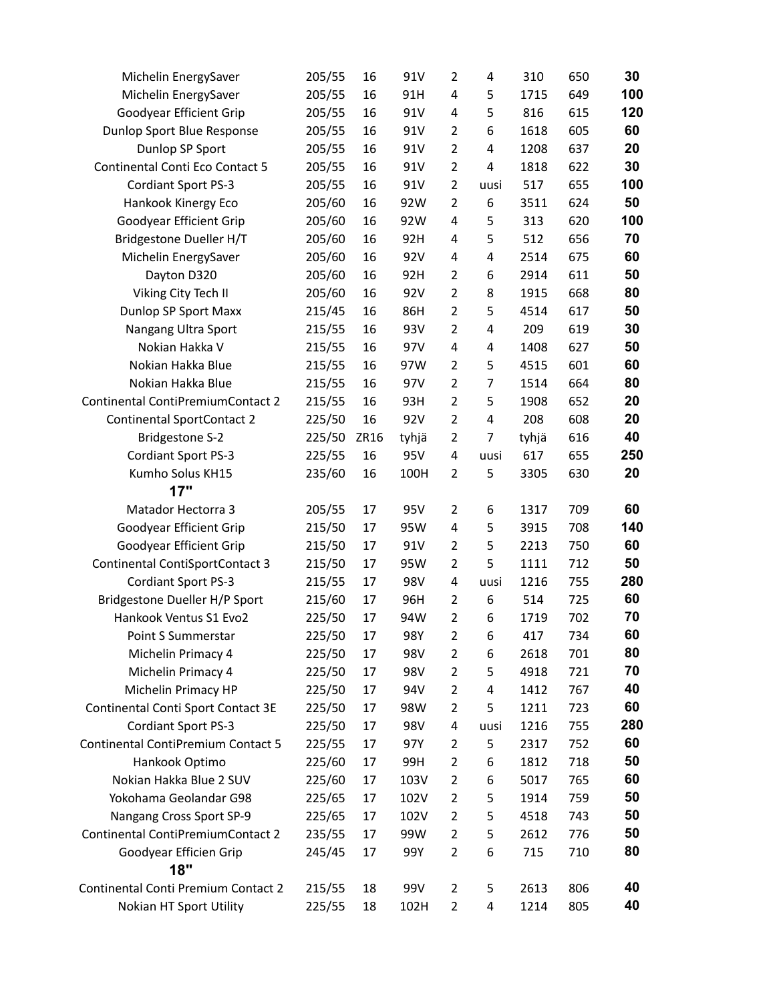| Michelin EnergySaver                   | 205/55 | 16   | 91V   | 2              | 4    | 310   | 650 | 30  |
|----------------------------------------|--------|------|-------|----------------|------|-------|-----|-----|
| Michelin EnergySaver                   | 205/55 | 16   | 91H   | $\overline{4}$ | 5    | 1715  | 649 | 100 |
| Goodyear Efficient Grip                | 205/55 | 16   | 91V   | 4              | 5    | 816   | 615 | 120 |
| Dunlop Sport Blue Response             | 205/55 | 16   | 91V   | $\overline{2}$ | 6    | 1618  | 605 | 60  |
| Dunlop SP Sport                        | 205/55 | 16   | 91V   | $\overline{2}$ | 4    | 1208  | 637 | 20  |
| Continental Conti Eco Contact 5        | 205/55 | 16   | 91V   | $\overline{2}$ | 4    | 1818  | 622 | 30  |
| Cordiant Sport PS-3                    | 205/55 | 16   | 91V   | $\overline{2}$ | uusi | 517   | 655 | 100 |
| Hankook Kinergy Eco                    | 205/60 | 16   | 92W   | $\overline{2}$ | 6    | 3511  | 624 | 50  |
| Goodyear Efficient Grip                | 205/60 | 16   | 92W   | 4              | 5    | 313   | 620 | 100 |
| Bridgestone Dueller H/T                | 205/60 | 16   | 92H   | 4              | 5    | 512   | 656 | 70  |
| Michelin EnergySaver                   | 205/60 | 16   | 92V   | 4              | 4    | 2514  | 675 | 60  |
| Dayton D320                            | 205/60 | 16   | 92H   | $\overline{2}$ | 6    | 2914  | 611 | 50  |
| Viking City Tech II                    | 205/60 | 16   | 92V   | $\overline{2}$ | 8    | 1915  | 668 | 80  |
| Dunlop SP Sport Maxx                   | 215/45 | 16   | 86H   | $\overline{2}$ | 5    | 4514  | 617 | 50  |
| Nangang Ultra Sport                    | 215/55 | 16   | 93V   | $\overline{2}$ | 4    | 209   | 619 | 30  |
| Nokian Hakka V                         | 215/55 | 16   | 97V   | 4              | 4    | 1408  | 627 | 50  |
| Nokian Hakka Blue                      | 215/55 | 16   | 97W   | $\overline{2}$ | 5    | 4515  | 601 | 60  |
| Nokian Hakka Blue                      | 215/55 | 16   | 97V   | $\overline{2}$ | 7    | 1514  | 664 | 80  |
| Continental ContiPremiumContact 2      | 215/55 | 16   | 93H   | $\overline{2}$ | 5    | 1908  | 652 | 20  |
| <b>Continental SportContact 2</b>      | 225/50 | 16   | 92V   | $\overline{2}$ | 4    | 208   | 608 | 20  |
| <b>Bridgestone S-2</b>                 | 225/50 | ZR16 | tyhjä | $\overline{2}$ | 7    | tyhjä | 616 | 40  |
| Cordiant Sport PS-3                    | 225/55 | 16   | 95V   | $\pmb{4}$      | uusi | 617   | 655 | 250 |
| Kumho Solus KH15                       | 235/60 | 16   | 100H  | $\overline{2}$ | 5    | 3305  | 630 | 20  |
| 17"                                    |        |      |       |                |      |       |     |     |
| Matador Hectorra 3                     | 205/55 | 17   | 95V   | $\overline{2}$ | 6    | 1317  | 709 | 60  |
| Goodyear Efficient Grip                | 215/50 | 17   | 95W   | 4              | 5    | 3915  | 708 | 140 |
| Goodyear Efficient Grip                | 215/50 | 17   | 91V   | $\overline{2}$ | 5    | 2213  | 750 | 60  |
| <b>Continental ContiSportContact 3</b> | 215/50 | 17   | 95W   | $\overline{2}$ | 5    | 1111  | 712 | 50  |
| Cordiant Sport PS-3                    | 215/55 | 17   | 98V   | 4              | uusi | 1216  | 755 | 280 |
| Bridgestone Dueller H/P Sport          | 215/60 | 17   | 96H   | $\overline{2}$ | 6    | 514   | 725 | 60  |
| Hankook Ventus S1 Evo2                 | 225/50 | 17   | 94W   | $\overline{2}$ | 6    | 1719  | 702 | 70  |
| Point S Summerstar                     | 225/50 | 17   | 98Y   | $\overline{2}$ | 6    | 417   | 734 | 60  |
| Michelin Primacy 4                     | 225/50 | 17   | 98V   | 2              | 6    | 2618  | 701 | 80  |
| Michelin Primacy 4                     | 225/50 | 17   | 98V   | $\overline{2}$ | 5    | 4918  | 721 | 70  |
| Michelin Primacy HP                    | 225/50 | 17   | 94V   | $\overline{2}$ | 4    | 1412  | 767 | 40  |
| Continental Conti Sport Contact 3E     | 225/50 | 17   | 98W   | 2              | 5    | 1211  | 723 | 60  |
| <b>Cordiant Sport PS-3</b>             | 225/50 | 17   | 98V   | 4              | uusi | 1216  | 755 | 280 |
| Continental ContiPremium Contact 5     | 225/55 | 17   | 97Y   | $\overline{2}$ | 5    | 2317  | 752 | 60  |
| Hankook Optimo                         | 225/60 | 17   | 99H   | $\overline{2}$ | 6    | 1812  | 718 | 50  |
| Nokian Hakka Blue 2 SUV                | 225/60 | 17   | 103V  | $\overline{2}$ | 6    | 5017  | 765 | 60  |
| Yokohama Geolandar G98                 | 225/65 | 17   | 102V  | 2              | 5    | 1914  | 759 | 50  |
| Nangang Cross Sport SP-9               | 225/65 | 17   | 102V  | 2              | 5    | 4518  | 743 | 50  |
| Continental ContiPremiumContact 2      | 235/55 | 17   | 99W   | $\overline{2}$ | 5    | 2612  | 776 | 50  |
| Goodyear Efficien Grip                 | 245/45 | 17   | 99Y   | $\overline{2}$ | 6    | 715   | 710 | 80  |
| 18"                                    |        |      |       |                |      |       |     |     |
| Continental Conti Premium Contact 2    | 215/55 | 18   | 99V   | $\overline{2}$ | 5    | 2613  | 806 | 40  |
| Nokian HT Sport Utility                | 225/55 | 18   | 102H  | 2              | 4    | 1214  | 805 | 40  |